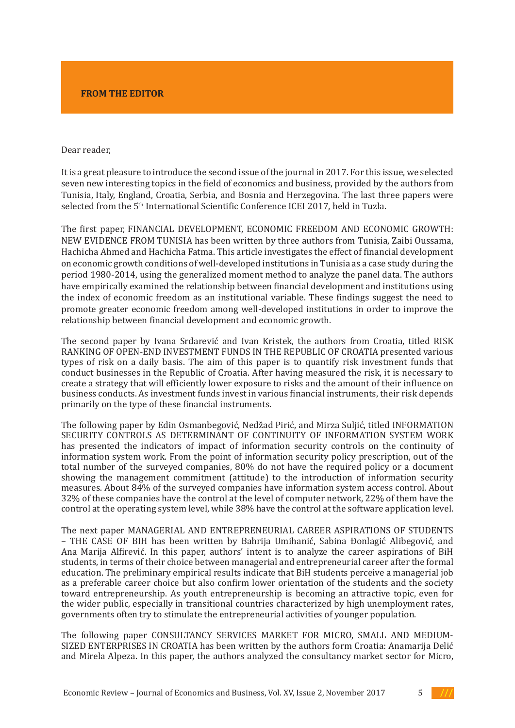## **FROM THE EDITOR**

## Dear reader,

It is a great pleasure to introduce the second issue of the journal in 2017. For this issue, we selected seven new interesting topics in the field of economics and business, provided by the authors from Tunisia, Italy, England, Croatia, Serbia, and Bosnia and Herzegovina. The last three papers were selected from the 5th International Scientific Conference ICEI 2017, held in Tuzla.

The first paper, FINANCIAL DEVELOPMENT, ECONOMIC FREEDOM AND ECONOMIC GROWTH: NEW EVIDENCE FROM TUNISIA has been written by three authors from Tunisia, Zaibi Oussama, Hachicha Ahmed and Hachicha Fatma. This article investigates the effect of financial development on economic growth conditions of well-developed institutions in Tunisia as a case study during the period 1980-2014, using the generalized moment method to analyze the panel data. The authors have empirically examined the relationship between financial development and institutions using the index of economic freedom as an institutional variable. These findings suggest the need to promote greater economic freedom among well-developed institutions in order to improve the relationship between financial development and economic growth.

The second paper by Ivana Srdarević and Ivan Kristek, the authors from Croatia, titled RISK RANKING OF OPEN-END INVESTMENT FUNDS IN THE REPUBLIC OF CROATIA presented various types of risk on a daily basis. The aim of this paper is to quantify risk investment funds that conduct businesses in the Republic of Croatia. After having measured the risk, it is necessary to create a strategy that will efficiently lower exposure to risks and the amount of their influence on business conducts. As investment funds invest in various financial instruments, their risk depends primarily on the type of these financial instruments.

The following paper by Edin Osmanbegović, Nedžad Pirić, and Mirza Suljić, titled INFORMATION SECURITY CONTROLS AS DETERMINANT OF CONTINUITY OF INFORMATION SYSTEM WORK has presented the indicators of impact of information security controls on the continuity of information system work. From the point of information security policy prescription, out of the total number of the surveyed companies, 80% do not have the required policy or a document showing the management commitment (attitude) to the introduction of information security measures. About 84% of the surveyed companies have information system access control. About 32% of these companies have the control at the level of computer network, 22% of them have the control at the operating system level, while 38% have the control at the software application level.

The next paper MANAGERIAL AND ENTREPRENEURIAL CAREER ASPIRATIONS OF STUDENTS – THE CASE OF BIH has been written by Bahrija Umihanić, Sabina Đonlagić Alibegović, and Ana Marija Alfirević. In this paper, authors' intent is to analyze the career aspirations of BiH students, in terms of their choice between managerial and entrepreneurial career after the formal education. The preliminary empirical results indicate that BiH students perceive a managerial job as a preferable career choice but also confirm lower orientation of the students and the society toward entrepreneurship. As youth entrepreneurship is becoming an attractive topic, even for the wider public, especially in transitional countries characterized by high unemployment rates, governments often try to stimulate the entrepreneurial activities of younger population.

The following paper CONSULTANCY SERVICES MARKET FOR MICRO, SMALL AND MEDIUM-SIZED ENTERPRISES IN CROATIA has been written by the authors form Croatia: Anamarija Delić and Mirela Alpeza. In this paper, the authors analyzed the consultancy market sector for Micro,